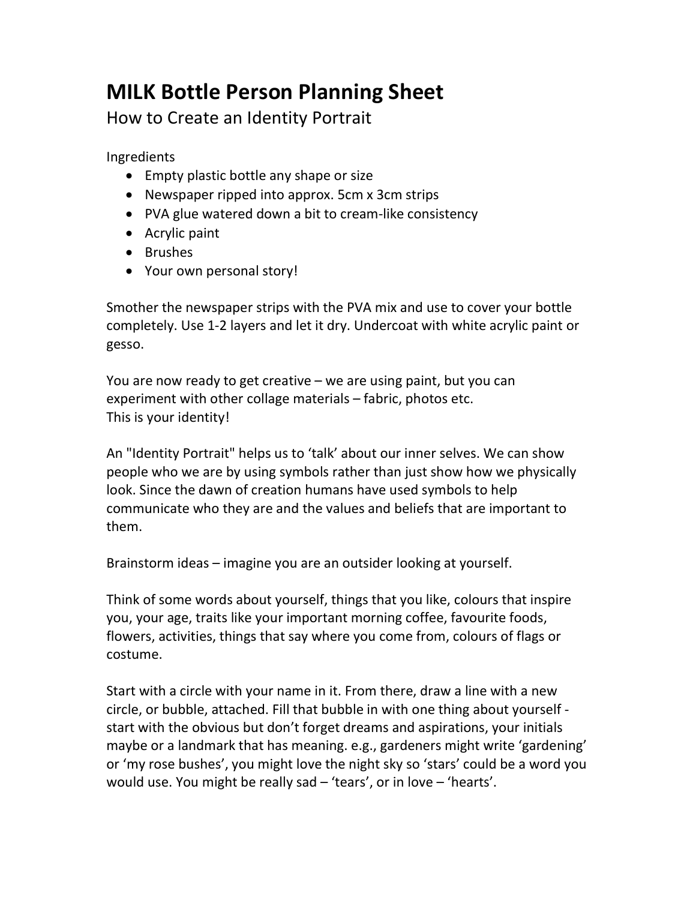## MILK Bottle Person Planning Sheet

How to Create an Identity Portrait

Ingredients

- Empty plastic bottle any shape or size
- Newspaper ripped into approx. 5cm x 3cm strips
- PVA glue watered down a bit to cream-like consistency
- Acrylic paint
- Brushes
- Your own personal story!

Smother the newspaper strips with the PVA mix and use to cover your bottle completely. Use 1-2 layers and let it dry. Undercoat with white acrylic paint or gesso.

You are now ready to get creative – we are using paint, but you can experiment with other collage materials – fabric, photos etc. This is your identity!

An "Identity Portrait" helps us to 'talk' about our inner selves. We can show people who we are by using symbols rather than just show how we physically look. Since the dawn of creation humans have used symbols to help communicate who they are and the values and beliefs that are important to them.

Brainstorm ideas – imagine you are an outsider looking at yourself.

Think of some words about yourself, things that you like, colours that inspire you, your age, traits like your important morning coffee, favourite foods, flowers, activities, things that say where you come from, colours of flags or costume.

Start with a circle with your name in it. From there, draw a line with a new circle, or bubble, attached. Fill that bubble in with one thing about yourself start with the obvious but don't forget dreams and aspirations, your initials maybe or a landmark that has meaning. e.g., gardeners might write 'gardening' or 'my rose bushes', you might love the night sky so 'stars' could be a word you would use. You might be really sad – 'tears', or in love – 'hearts'.